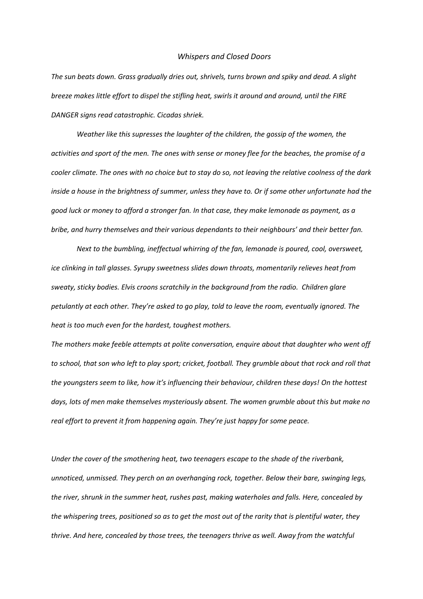## *Whispers and Closed Doors*

*The sun beats down. Grass gradually dries out, shrivels, turns brown and spiky and dead. A slight breeze makes little effort to dispel the stifling heat, swirls it around and around, until the FIRE DANGER signs read catastrophic. Cicadas shriek.* 

*Weather like this supresses the laughter of the children, the gossip of the women, the activities and sport of the men. The ones with sense or money flee for the beaches, the promise of a cooler climate. The ones with no choice but to stay do so, not leaving the relative coolness of the dark inside a house in the brightness of summer, unless they have to. Or if some other unfortunate had the good luck or money to afford a stronger fan. In that case, they make lemonade as payment, as a bribe, and hurry themselves and their various dependants to their neighbours' and their better fan.*

*Next to the bumbling, ineffectual whirring of the fan, lemonade is poured, cool, oversweet, ice clinking in tall glasses. Syrupy sweetness slides down throats, momentarily relieves heat from sweaty, sticky bodies. Elvis croons scratchily in the background from the radio. Children glare petulantly at each other. They're asked to go play, told to leave the room, eventually ignored. The heat is too much even for the hardest, toughest mothers.* 

*The mothers make feeble attempts at polite conversation, enquire about that daughter who went off to school, that son who left to play sport; cricket, football. They grumble about that rock and roll that the youngsters seem to like, how it's influencing their behaviour, children these days! On the hottest days, lots of men make themselves mysteriously absent. The women grumble about this but make no real effort to prevent it from happening again. They're just happy for some peace.*

*Under the cover of the smothering heat, two teenagers escape to the shade of the riverbank, unnoticed, unmissed. They perch on an overhanging rock, together. Below their bare, swinging legs, the river, shrunk in the summer heat, rushes past, making waterholes and falls. Here, concealed by the whispering trees, positioned so as to get the most out of the rarity that is plentiful water, they thrive. And here, concealed by those trees, the teenagers thrive as well. Away from the watchful*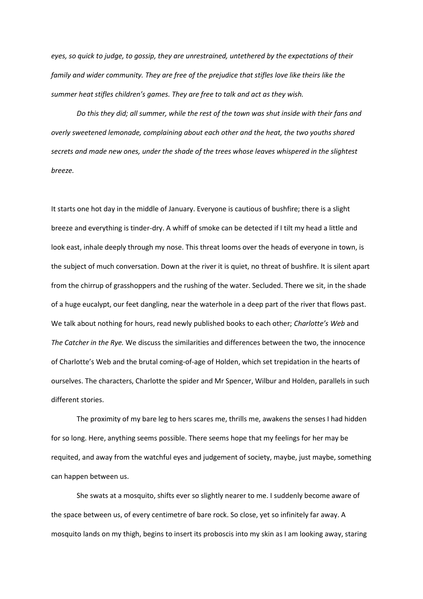*eyes, so quick to judge, to gossip, they are unrestrained, untethered by the expectations of their*  family and wider community. They are free of the prejudice that stifles love like theirs like the *summer heat stifles children's games. They are free to talk and act as they wish.*

*Do this they did; all summer, while the rest of the town was shut inside with their fans and overly sweetened lemonade, complaining about each other and the heat, the two youths shared secrets and made new ones, under the shade of the trees whose leaves whispered in the slightest breeze.* 

It starts one hot day in the middle of January. Everyone is cautious of bushfire; there is a slight breeze and everything is tinder-dry. A whiff of smoke can be detected if I tilt my head a little and look east, inhale deeply through my nose. This threat looms over the heads of everyone in town, is the subject of much conversation. Down at the river it is quiet, no threat of bushfire. It is silent apart from the chirrup of grasshoppers and the rushing of the water. Secluded. There we sit, in the shade of a huge eucalypt, our feet dangling, near the waterhole in a deep part of the river that flows past. We talk about nothing for hours, read newly published books to each other; *Charlotte's Web* and *The Catcher in the Rye.* We discuss the similarities and differences between the two, the innocence of Charlotte's Web and the brutal coming-of-age of Holden, which set trepidation in the hearts of ourselves. The characters, Charlotte the spider and Mr Spencer, Wilbur and Holden, parallels in such different stories.

The proximity of my bare leg to hers scares me, thrills me, awakens the senses I had hidden for so long. Here, anything seems possible. There seems hope that my feelings for her may be requited, and away from the watchful eyes and judgement of society, maybe, just maybe, something can happen between us.

She swats at a mosquito, shifts ever so slightly nearer to me. I suddenly become aware of the space between us, of every centimetre of bare rock. So close, yet so infinitely far away. A mosquito lands on my thigh, begins to insert its proboscis into my skin as I am looking away, staring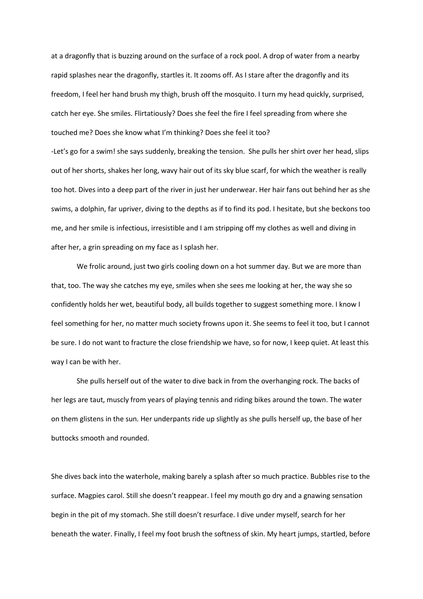at a dragonfly that is buzzing around on the surface of a rock pool. A drop of water from a nearby rapid splashes near the dragonfly, startles it. It zooms off. As I stare after the dragonfly and its freedom, I feel her hand brush my thigh, brush off the mosquito. I turn my head quickly, surprised, catch her eye. She smiles. Flirtatiously? Does she feel the fire I feel spreading from where she touched me? Does she know what I'm thinking? Does she feel it too? -Let's go for a swim! she says suddenly, breaking the tension. She pulls her shirt over her head, slips out of her shorts, shakes her long, wavy hair out of its sky blue scarf, for which the weather is really too hot. Dives into a deep part of the river in just her underwear. Her hair fans out behind her as she swims, a dolphin, far upriver, diving to the depths as if to find its pod. I hesitate, but she beckons too me, and her smile is infectious, irresistible and I am stripping off my clothes as well and diving in after her, a grin spreading on my face as I splash her.

We frolic around, just two girls cooling down on a hot summer day. But we are more than that, too. The way she catches my eye, smiles when she sees me looking at her, the way she so confidently holds her wet, beautiful body, all builds together to suggest something more. I know I feel something for her, no matter much society frowns upon it. She seems to feel it too, but I cannot be sure. I do not want to fracture the close friendship we have, so for now, I keep quiet. At least this way I can be with her.

She pulls herself out of the water to dive back in from the overhanging rock. The backs of her legs are taut, muscly from years of playing tennis and riding bikes around the town. The water on them glistens in the sun. Her underpants ride up slightly as she pulls herself up, the base of her buttocks smooth and rounded.

She dives back into the waterhole, making barely a splash after so much practice. Bubbles rise to the surface. Magpies carol. Still she doesn't reappear. I feel my mouth go dry and a gnawing sensation begin in the pit of my stomach. She still doesn't resurface. I dive under myself, search for her beneath the water. Finally, I feel my foot brush the softness of skin. My heart jumps, startled, before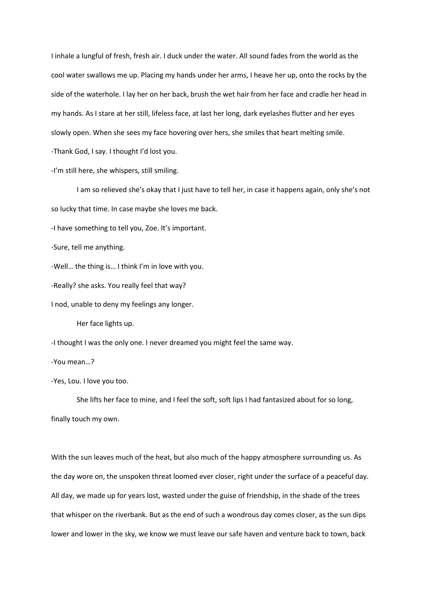I inhale a lungful of fresh, fresh air. I duck under the water. All sound fades from the world as the cool water swallows me up. Placing my hands under her arms, I heave her up, onto the rocks by the side of the waterhole. I lay her on her back, brush the wet hair from her face and cradle her head in my hands. As I stare at her still, lifeless face, at last her long, dark eyelashes flutter and her eyes slowly open. When she sees my face hovering over hers, she smiles that heart melting smile. -Thank God, I say. I thought I'd lost you.

-I'm still here, she whispers, still smiling.

I am so relieved she's okay that I just have to tell her, in case it happens again, only she's not so lucky that time. In case maybe she loves me back.

-I have something to tell you, Zoe. It's important.

-Sure, tell me anything.

-Well… the thing is… I think I'm in love with you.

-Really? she asks. You really feel that way?

I nod, unable to deny my feelings any longer.

Her face lights up.

-I thought I was the only one. I never dreamed you might feel the same way.

-You mean…?

-Yes, Lou. I love you too.

She lifts her face to mine, and I feel the soft, soft lips I had fantasized about for so long, finally touch my own.

With the sun leaves much of the heat, but also much of the happy atmosphere surrounding us. As the day wore on, the unspoken threat loomed ever closer, right under the surface of a peaceful day. All day, we made up for years lost, wasted under the guise of friendship, in the shade of the trees that whisper on the riverbank. But as the end of such a wondrous day comes closer, as the sun dips lower and lower in the sky, we know we must leave our safe haven and venture back to town, back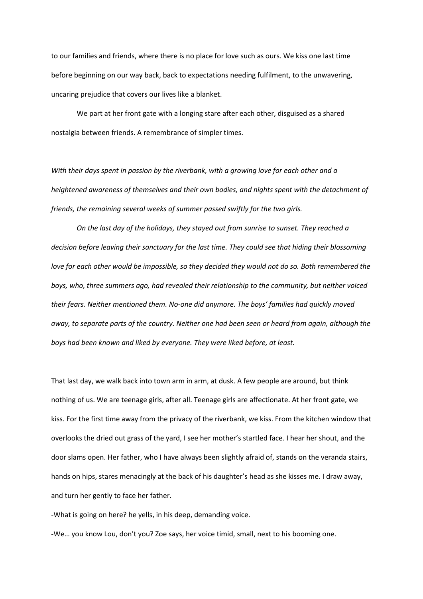to our families and friends, where there is no place for love such as ours. We kiss one last time before beginning on our way back, back to expectations needing fulfilment, to the unwavering, uncaring prejudice that covers our lives like a blanket.

We part at her front gate with a longing stare after each other, disguised as a shared nostalgia between friends. A remembrance of simpler times.

*With their days spent in passion by the riverbank, with a growing love for each other and a heightened awareness of themselves and their own bodies, and nights spent with the detachment of friends, the remaining several weeks of summer passed swiftly for the two girls.*

*On the last day of the holidays, they stayed out from sunrise to sunset. They reached a decision before leaving their sanctuary for the last time. They could see that hiding their blossoming love for each other would be impossible, so they decided they would not do so. Both remembered the boys, who, three summers ago, had revealed their relationship to the community, but neither voiced their fears. Neither mentioned them. No-one did anymore. The boys' families had quickly moved away, to separate parts of the country. Neither one had been seen or heard from again, although the boys had been known and liked by everyone. They were liked before, at least.*

That last day, we walk back into town arm in arm, at dusk. A few people are around, but think nothing of us. We are teenage girls, after all. Teenage girls are affectionate. At her front gate, we kiss. For the first time away from the privacy of the riverbank, we kiss. From the kitchen window that overlooks the dried out grass of the yard, I see her mother's startled face. I hear her shout, and the door slams open. Her father, who I have always been slightly afraid of, stands on the veranda stairs, hands on hips, stares menacingly at the back of his daughter's head as she kisses me. I draw away, and turn her gently to face her father.

-What is going on here? he yells, in his deep, demanding voice.

-We… you know Lou, don't you? Zoe says, her voice timid, small, next to his booming one.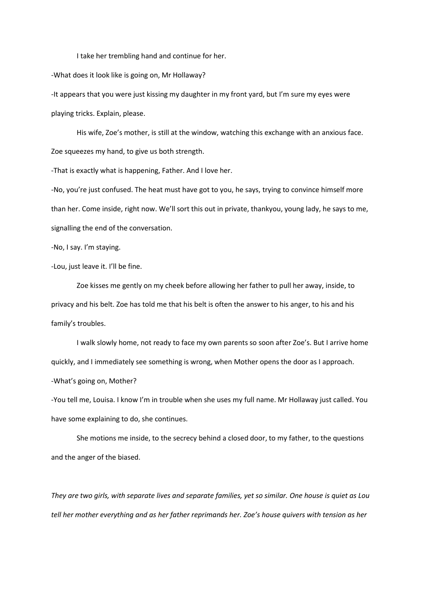I take her trembling hand and continue for her.

-What does it look like is going on, Mr Hollaway?

-It appears that you were just kissing my daughter in my front yard, but I'm sure my eyes were playing tricks. Explain, please.

His wife, Zoe's mother, is still at the window, watching this exchange with an anxious face. Zoe squeezes my hand, to give us both strength.

-That is exactly what is happening, Father. And I love her.

-No, you're just confused. The heat must have got to you, he says, trying to convince himself more than her. Come inside, right now. We'll sort this out in private, thankyou, young lady, he says to me, signalling the end of the conversation.

-No, I say. I'm staying.

-Lou, just leave it. I'll be fine.

Zoe kisses me gently on my cheek before allowing her father to pull her away, inside, to privacy and his belt. Zoe has told me that his belt is often the answer to his anger, to his and his family's troubles.

I walk slowly home, not ready to face my own parents so soon after Zoe's. But I arrive home quickly, and I immediately see something is wrong, when Mother opens the door as I approach. -What's going on, Mother?

-You tell me, Louisa. I know I'm in trouble when she uses my full name. Mr Hollaway just called. You have some explaining to do, she continues.

She motions me inside, to the secrecy behind a closed door, to my father, to the questions and the anger of the biased.

*They are two girls, with separate lives and separate families, yet so similar. One house is quiet as Lou tell her mother everything and as her father reprimands her. Zoe's house quivers with tension as her*